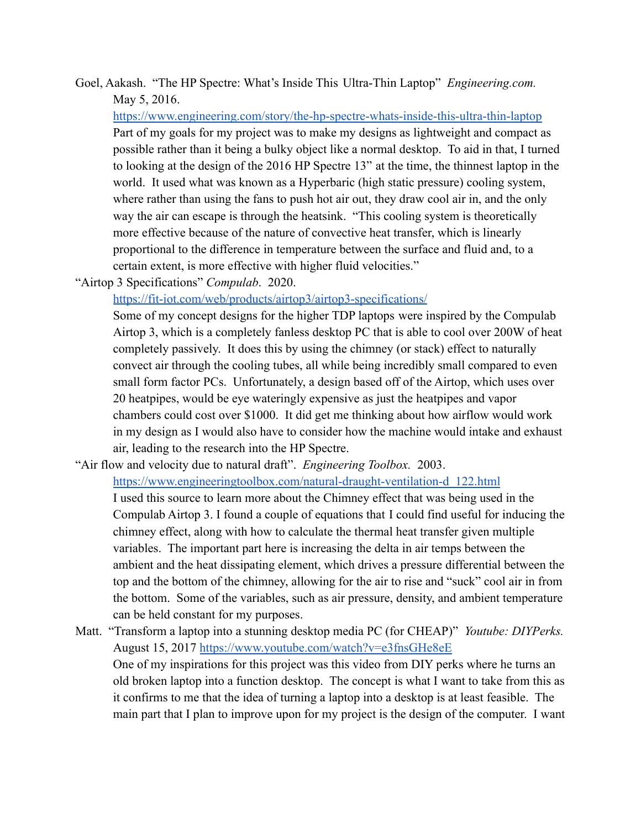Goel, Aakash. "The HP Spectre: What's Inside This Ultra-Thin Laptop" *Engineering.com.* May 5, 2016.

<https://www.engineering.com/story/the-hp-spectre-whats-inside-this-ultra-thin-laptop> Part of my goals for my project was to make my designs as lightweight and compact as possible rather than it being a bulky object like a normal desktop. To aid in that, I turned to looking at the design of the 2016 HP Spectre 13" at the time, the thinnest laptop in the world. It used what was known as a Hyperbaric (high static pressure) cooling system, where rather than using the fans to push hot air out, they draw cool air in, and the only way the air can escape is through the heatsink. "This cooling system is theoretically more effective because of the nature of convective heat transfer, which is linearly proportional to the difference in temperature between the surface and fluid and, to a certain extent, is more effective with higher fluid velocities."

"Airtop 3 Specifications" *Compulab*. 2020.

<https://fit-iot.com/web/products/airtop3/airtop3-specifications/>

Some of my concept designs for the higher TDP laptops were inspired by the Compulab Airtop 3, which is a completely fanless desktop PC that is able to cool over 200W of heat completely passively. It does this by using the chimney (or stack) effect to naturally convect air through the cooling tubes, all while being incredibly small compared to even small form factor PCs. Unfortunately, a design based off of the Airtop, which uses over 20 heatpipes, would be eye wateringly expensive as just the heatpipes and vapor chambers could cost over \$1000. It did get me thinking about how airflow would work in my design as I would also have to consider how the machine would intake and exhaust air, leading to the research into the HP Spectre.

- "Air flow and velocity due to natural draft". *Engineering Toolbox.* 2003. [https://www.engineeringtoolbox.com/natural-draught-ventilation-d\\_122.html](https://www.engineeringtoolbox.com/natural-draught-ventilation-d_122.html) I used this source to learn more about the Chimney effect that was being used in the Compulab Airtop 3. I found a couple of equations that I could find useful for inducing the chimney effect, along with how to calculate the thermal heat transfer given multiple variables. The important part here is increasing the delta in air temps between the ambient and the heat dissipating element, which drives a pressure differential between the top and the bottom of the chimney, allowing for the air to rise and "suck" cool air in from the bottom. Some of the variables, such as air pressure, density, and ambient temperature can be held constant for my purposes.
- Matt. "Transform a laptop into a stunning desktop media PC (for CHEAP)" *Youtube: DIYPerks.* August 15, 2017 <https://www.youtube.com/watch?v=e3fnsGHe8eE> One of my inspirations for this project was this video from DIY perks where he turns an old broken laptop into a function desktop. The concept is what I want to take from this as it confirms to me that the idea of turning a laptop into a desktop is at least feasible. The main part that I plan to improve upon for my project is the design of the computer. I want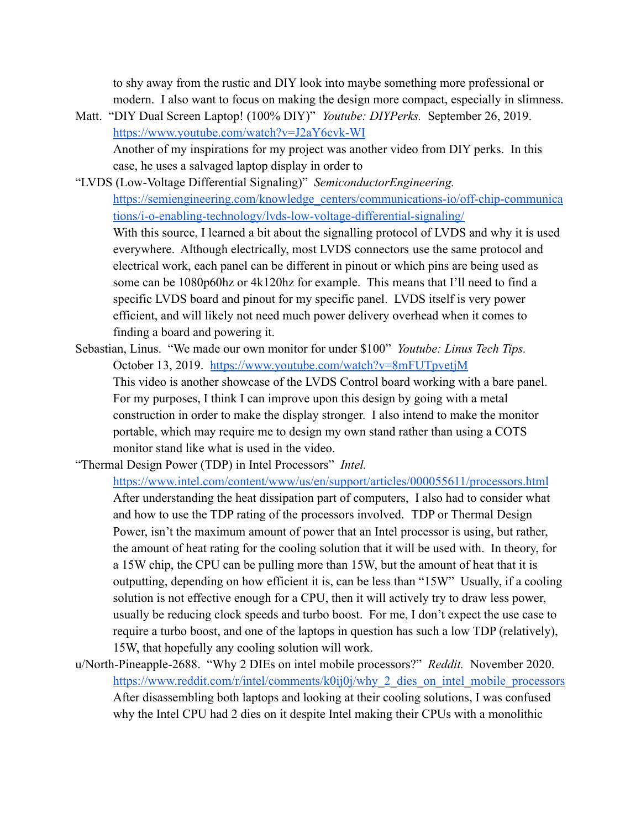to shy away from the rustic and DIY look into maybe something more professional or modern. I also want to focus on making the design more compact, especially in slimness.

- Matt. "DIY Dual Screen Laptop! (100% DIY)" *Youtube: DIYPerks.* September 26, 2019. <https://www.youtube.com/watch?v=J2aY6cvk-WI> Another of my inspirations for my project was another video from DIY perks. In this case, he uses a salvaged laptop display in order to
- "LVDS (Low-Voltage Differential Signaling)" *SemiconductorEngineering.* [https://semiengineering.com/knowledge\\_centers/communications-io/off-chip-communica](https://semiengineering.com/knowledge_centers/communications-io/off-chip-communications/i-o-enabling-technology/lvds-low-voltage-differential-signaling/) [tions/i-o-enabling-technology/lvds-low-voltage-differential-signaling/](https://semiengineering.com/knowledge_centers/communications-io/off-chip-communications/i-o-enabling-technology/lvds-low-voltage-differential-signaling/)

With this source, I learned a bit about the signalling protocol of LVDS and why it is used everywhere. Although electrically, most LVDS connectors use the same protocol and electrical work, each panel can be different in pinout or which pins are being used as some can be 1080p60hz or 4k120hz for example. This means that I'll need to find a specific LVDS board and pinout for my specific panel. LVDS itself is very power efficient, and will likely not need much power delivery overhead when it comes to finding a board and powering it.

Sebastian, Linus. "We made our own monitor for under \$100" *Youtube: Linus Tech Tips.* October 13, 2019. <https://www.youtube.com/watch?v=8mFUTpvetjM> This video is another showcase of the LVDS Control board working with a bare panel. For my purposes, I think I can improve upon this design by going with a metal construction in order to make the display stronger. I also intend to make the monitor portable, which may require me to design my own stand rather than using a COTS monitor stand like what is used in the video.

"Thermal Design Power (TDP) in Intel Processors" *Intel.*

<https://www.intel.com/content/www/us/en/support/articles/000055611/processors.html> After understanding the heat dissipation part of computers, I also had to consider what and how to use the TDP rating of the processors involved. TDP or Thermal Design Power, isn't the maximum amount of power that an Intel processor is using, but rather, the amount of heat rating for the cooling solution that it will be used with. In theory, for a 15W chip, the CPU can be pulling more than 15W, but the amount of heat that it is outputting, depending on how efficient it is, can be less than "15W" Usually, if a cooling solution is not effective enough for a CPU, then it will actively try to draw less power, usually be reducing clock speeds and turbo boost. For me, I don't expect the use case to require a turbo boost, and one of the laptops in question has such a low TDP (relatively), 15W, that hopefully any cooling solution will work.

u/North-Pineapple-2688. "Why 2 DIEs on intel mobile processors?" *Reddit.* November 2020. [https://www.reddit.com/r/intel/comments/k0ij0j/why\\_2\\_dies\\_on\\_intel\\_mobile\\_processors](https://www.reddit.com/r/intel/comments/k0ij0j/why_2_dies_on_intel_mobile_processors/) After disassembling both laptops and looking at their cooling solutions, I was confused why the Intel CPU had 2 dies on it despite Intel making their CPUs with a monolithic